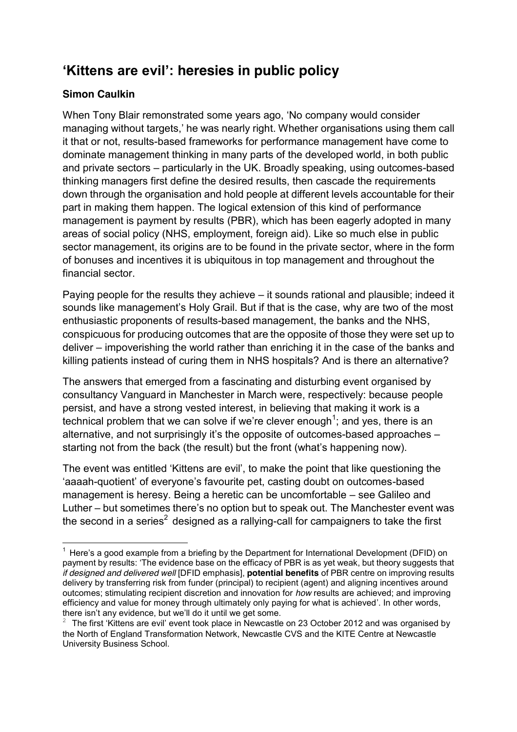# **Kittens are evil': heresies in public policy**

# **Simon Caulkin**

When Tony Blair remonstrated some years ago, 'No company would consider managing without targets,' he was nearly right. Whether organisations using them call it that or not, results-based frameworks for performance management have come to dominate management thinking in many parts of the developed world, in both public and private sectors – particularly in the UK. Broadly speaking, using outcomes-based thinking managers first define the desired results, then cascade the requirements down through the organisation and hold people at different levels accountable for their part in making them happen. The logical extension of this kind of performance management is payment by results (PBR), which has been eagerly adopted in many areas of social policy (NHS, employment, foreign aid). Like so much else in public sector management, its origins are to be found in the private sector, where in the form of bonuses and incentives it is ubiquitous in top management and throughout the financial sector.

Paying people for the results they achieve  $-$  it sounds rational and plausible; indeed it sounds like management's Holy Grail. But if that is the case, why are two of the most enthusiastic proponents of results-based management, the banks and the NHS, conspicuous for producing outcomes that are the opposite of those they were set up to deliver – impoverishing the world rather than enriching it in the case of the banks and killing patients instead of curing them in NHS hospitals? And is there an alternative?

The answers that emerged from a fascinating and disturbing event organised by consultancy Vanguard in Manchester in March were, respectively: because people persist, and have a strong vested interest, in believing that making it work is a technical problem that we can solve if we're clever enough<sup>1</sup>; and yes, there is an alternative, and not surprisingly it's the opposite of outcomes-based approaches  $$ starting not from the back (the result) but the front (what's happening now).

The event was entitled 'Kittens are evil', to make the point that like questioning the 'aaaah-quotient' of everyone's favourite pet, casting doubt on outcomes-based management is heresy. Being a heretic can be uncomfortable – see Galileo and Luther – but sometimes there's no option but to speak out. The Manchester event was the second in a series<sup>2</sup> designed as a rallying-call for campaigners to take the first

<sup>!!!!!!!!!!!!!!!!!!!!!!</sup> <sup>1</sup> Here's a good example from a briefing by the Department for International Development (DFID) on payment by results: 'The evidence base on the efficacy of PBR is as yet weak, but theory suggests that *if designed and delivered well* [DFID emphasis], **potential benefits** of PBR centre on improving results delivery by transferring risk from funder (principal) to recipient (agent) and aligning incentives around outcomes; stimulating recipient discretion and innovation for *how* results are achieved; and improving efficiency and value for money through ultimately only paying for what is achieved'. In other words, there isn't any evidence, but we'll do it until we get some.

<sup>&</sup>lt;sup>2</sup> The first 'Kittens are evil' event took place in Newcastle on 23 October 2012 and was organised by the North of England Transformation Network, Newcastle CVS and the KITE Centre at Newcastle University Business School.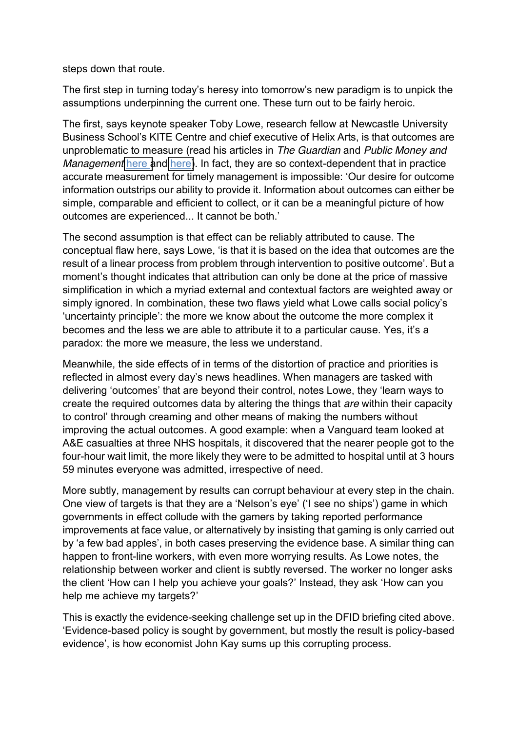steps down that route.

The first step in turning today's heresy into tomorrow's new paradigm is to unpick the assumptions underpinning the current one. These turn out to be fairly heroic.

The first, says keynote speaker Toby Lowe, research fellow at Newcastle University Business School's KITE Centre and chief executive of Helix Arts, is that outcomes are unproblematic to measure (read his articles in *The Guardian* and *Public Money and Management* [here a](http://www.guardian.co.uk/local-government-network/2013/feb/01/payment-results-staff-fictions)nd [here\)](http://www.tandfonline.com/doi/abs/10.1080/09540962.2013.785707?ai=2wl&ui=3agnx&af=T). In fact, they are so context-dependent that in practice accurate measurement for timely management is impossible: 'Our desire for outcome information outstrips our ability to provide it. Information about outcomes can either be simple, comparable and efficient to collect, or it can be a meaningful picture of how outcomes are experienced... It cannot be both.'

The second assumption is that effect can be reliably attributed to cause. The conceptual flaw here, says Lowe, 'is that it is based on the idea that outcomes are the result of a linear process from problem through intervention to positive outcome'. But a moment's thought indicates that attribution can only be done at the price of massive simplification in which a myriad external and contextual factors are weighted away or simply ignored. In combination, these two flaws yield what Lowe calls social policy's 'uncertainty principle': the more we know about the outcome the more complex it becomes and the less we are able to attribute it to a particular cause. Yes, it's a paradox: the more we measure, the less we understand.

Meanwhile, the side effects of in terms of the distortion of practice and priorities is reflected in almost every day's news headlines. When managers are tasked with delivering 'outcomes' that are beyond their control, notes Lowe, they 'learn ways to create the required outcomes data by altering the things that *are* within their capacity to control' through creaming and other means of making the numbers without improving the actual outcomes. A good example: when a Vanguard team looked at A&E casualties at three NHS hospitals, it discovered that the nearer people got to the four-hour wait limit, the more likely they were to be admitted to hospital until at 3 hours 59 minutes everyone was admitted, irrespective of need.

More subtly, management by results can corrupt behaviour at every step in the chain. One view of targets is that they are a 'Nelson's eye' ('I see no ships') game in which governments in effect collude with the gamers by taking reported performance improvements at face value, or alternatively by insisting that gaming is only carried out by 'a few bad apples', in both cases preserving the evidence base. A similar thing can happen to front-line workers, with even more worrying results. As Lowe notes, the relationship between worker and client is subtly reversed. The worker no longer asks the client 'How can I help you achieve your goals?' Instead, they ask 'How can you help me achieve my targets?'

This is exactly the evidence-seeking challenge set up in the DFID briefing cited above. 'Evidence-based policy is sought by government, but mostly the result is policy-based evidence', is how economist John Kay sums up this corrupting process.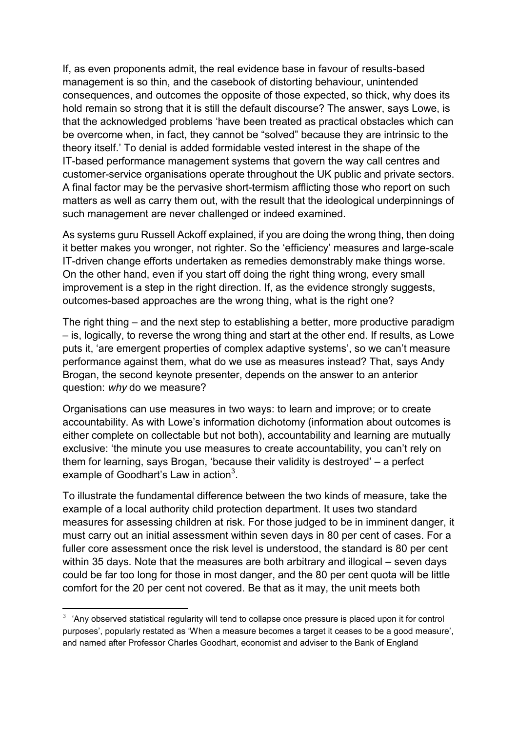If, as even proponents admit, the real evidence base in favour of results-based management is so thin, and the casebook of distorting behaviour, unintended consequences, and outcomes the opposite of those expected, so thick, why does its hold remain so strong that it is still the default discourse? The answer, says Lowe, is that the acknowledged problems 'have been treated as practical obstacles which can be overcome when, in fact, they cannot be "solved" because they are intrinsic to the theory itself.' To denial is added formidable vested interest in the shape of the IT-based performance management systems that govern the way call centres and customer-service organisations operate throughout the UK public and private sectors. A final factor may be the pervasive short-termism afflicting those who report on such matters as well as carry them out, with the result that the ideological underpinnings of such management are never challenged or indeed examined.

As systems guru Russell Ackoff explained, if you are doing the wrong thing, then doing it better makes you wronger, not righter. So the 'efficiency' measures and large-scale IT-driven change efforts undertaken as remedies demonstrably make things worse. On the other hand, even if you start off doing the right thing wrong, every small improvement is a step in the right direction. If, as the evidence strongly suggests, outcomes-based approaches are the wrong thing, what is the right one?

The right thing  $-$  and the next step to establishing a better, more productive paradigm  $-$  is, logically, to reverse the wrong thing and start at the other end. If results, as Lowe puts it, 'are emergent properties of complex adaptive systems', so we can't measure performance against them, what do we use as measures instead? That, says Andy Brogan, the second keynote presenter, depends on the answer to an anterior question: *why* do we measure?

Organisations can use measures in two ways: to learn and improve; or to create accountability. As with Lowe's information dichotomy (information about outcomes is either complete on collectable but not both), accountability and learning are mutually exclusive: 'the minute you use measures to create accountability, you can't rely on them for learning, says Brogan, 'because their validity is destroyed'  $-$  a perfect example of Goodhart's Law in action $^3$ .

To illustrate the fundamental difference between the two kinds of measure, take the example of a local authority child protection department. It uses two standard measures for assessing children at risk. For those judged to be in imminent danger, it must carry out an initial assessment within seven days in 80 per cent of cases. For a fuller core assessment once the risk level is understood, the standard is 80 per cent within 35 days. Note that the measures are both arbitrary and illogical  $-$  seven days could be far too long for those in most danger, and the 80 per cent quota will be little comfort for the 20 per cent not covered. Be that as it may, the unit meets both

!!!!!!!!!!!!!!!!!!!!!!

 $3$  'Any observed statistical regularity will tend to collapse once pressure is placed upon it for control purposes', popularly restated as 'When a measure becomes a target it ceases to be a good measure', and named after Professor Charles Goodhart, economist and adviser to the Bank of England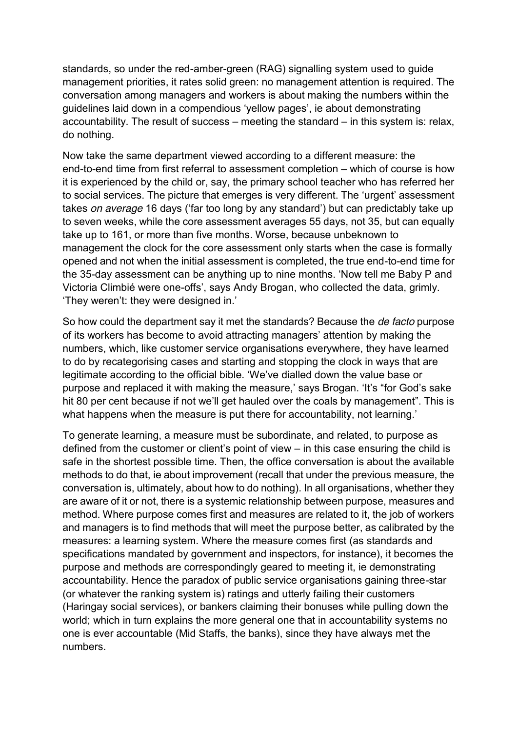standards, so under the red-amber-green (RAG) signalling system used to guide management priorities, it rates solid green: no management attention is required. The conversation among managers and workers is about making the numbers within the guidelines laid down in a compendious 'yellow pages', ie about demonstrating accountability. The result of success  $-$  meeting the standard  $-$  in this system is: relax, do nothing.

Now take the same department viewed according to a different measure: the end-to-end time from first referral to assessment completion – which of course is how it is experienced by the child or, say, the primary school teacher who has referred her to social services. The picture that emerges is very different. The 'urgent' assessment takes *on average* 16 days ('far too long by any standard') but can predictably take up to seven weeks, while the core assessment averages 55 days, not 35, but can equally take up to 161, or more than five months. Worse, because unbeknown to management the clock for the core assessment only starts when the case is formally opened and not when the initial assessment is completed, the true end-to-end time for the 35-day assessment can be anything up to nine months. 'Now tell me Baby P and Victoria Climbié were one-offs', says Andy Brogan, who collected the data, grimly. 'They weren't: they were designed in.'

So how could the department say it met the standards? Because the *de facto* purpose of its workers has become to avoid attracting managers' attention by making the numbers, which, like customer service organisations everywhere, they have learned to do by recategorising cases and starting and stopping the clock in ways that are legitimate according to the official bible. 'We've dialled down the value base or purpose and replaced it with making the measure,' says Brogan. 'It's "for God's sake hit 80 per cent because if not we'll get hauled over the coals by management". This is what happens when the measure is put there for accountability, not learning.'

To generate learning, a measure must be subordinate, and related, to purpose as defined from the customer or client's point of view  $-$  in this case ensuring the child is safe in the shortest possible time. Then, the office conversation is about the available methods to do that, ie about improvement (recall that under the previous measure, the conversation is, ultimately, about how to do nothing). In all organisations, whether they are aware of it or not, there is a systemic relationship between purpose, measures and method. Where purpose comes first and measures are related to it, the job of workers and managers is to find methods that will meet the purpose better, as calibrated by the measures: a learning system. Where the measure comes first (as standards and specifications mandated by government and inspectors, for instance), it becomes the purpose and methods are correspondingly geared to meeting it, ie demonstrating accountability. Hence the paradox of public service organisations gaining three-star (or whatever the ranking system is) ratings and utterly failing their customers (Haringay social services), or bankers claiming their bonuses while pulling down the world; which in turn explains the more general one that in accountability systems no one is ever accountable (Mid Staffs, the banks), since they have always met the numbers.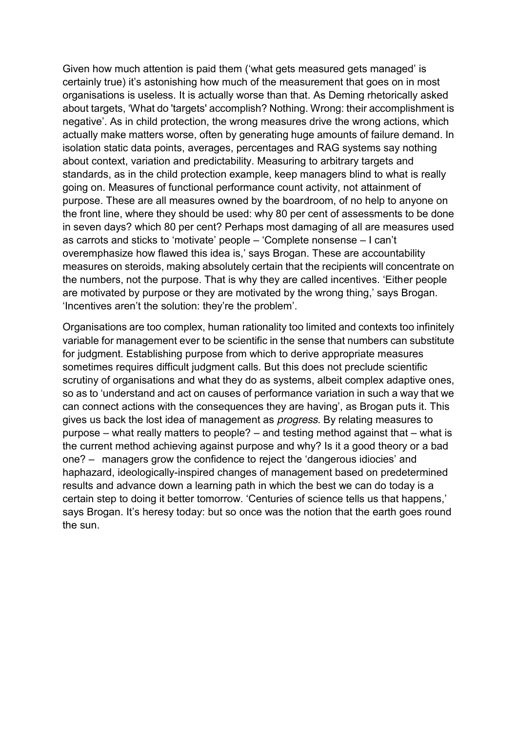Given how much attention is paid them ('what gets measured gets managed' is certainly true) it's astonishing how much of the measurement that goes on in most organisations is useless. It is actually worse than that. As Deming rhetorically asked about targets, 'What do 'targets' accomplish? Nothing. Wrong: their accomplishment is negative'. As in child protection, the wrong measures drive the wrong actions, which actually make matters worse, often by generating huge amounts of failure demand. In isolation static data points, averages, percentages and RAG systems say nothing about context, variation and predictability. Measuring to arbitrary targets and standards, as in the child protection example, keep managers blind to what is really going on. Measures of functional performance count activity, not attainment of purpose. These are all measures owned by the boardroom, of no help to anyone on the front line, where they should be used: why 80 per cent of assessments to be done in seven days? which 80 per cent? Perhaps most damaging of all are measures used as carrots and sticks to 'motivate' people – 'Complete nonsense – I can't overemphasize how flawed this idea is,' says Brogan. These are accountability measures on steroids, making absolutely certain that the recipients will concentrate on the numbers, not the purpose. That is why they are called incentives. 'Either people are motivated by purpose or they are motivated by the wrong thing,' says Brogan. 'Incentives aren't the solution: they're the problem'.

Organisations are too complex, human rationality too limited and contexts too infinitely variable for management ever to be scientific in the sense that numbers can substitute for judgment. Establishing purpose from which to derive appropriate measures sometimes requires difficult judgment calls. But this does not preclude scientific scrutiny of organisations and what they do as systems, albeit complex adaptive ones, so as to 'understand and act on causes of performance variation in such a way that we can connect actions with the consequences they are having', as Brogan puts it. This gives us back the lost idea of management as *progress*. By relating measures to purpose  $-$  what really matters to people?  $-$  and testing method against that  $-$  what is the current method achieving against purpose and why? Is it a good theory or a bad one?  $-$  managers grow the confidence to reject the 'dangerous idiocies' and haphazard, ideologically-inspired changes of management based on predetermined results and advance down a learning path in which the best we can do today is a certain step to doing it better tomorrow. 'Centuries of science tells us that happens,' says Brogan. It's heresy today: but so once was the notion that the earth goes round the sun.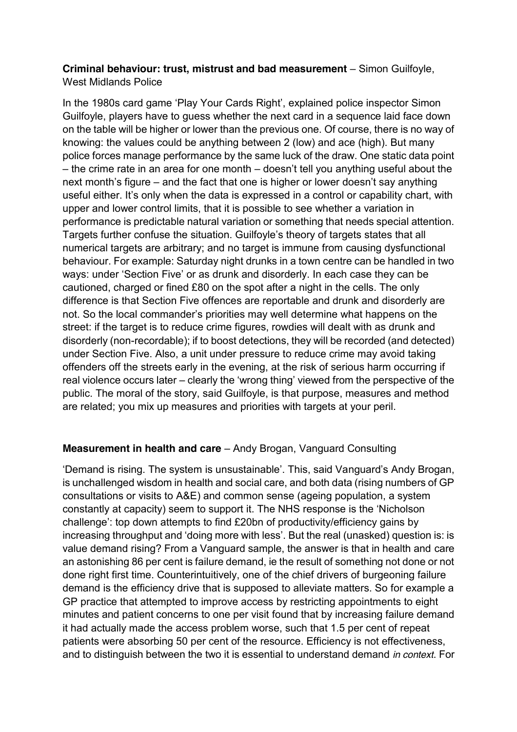## **Criminal behaviour: trust, mistrust and bad measurement** – Simon Guilfoyle, West Midlands Police

In the 1980s card game 'Play Your Cards Right', explained police inspector Simon Guilfoyle, players have to guess whether the next card in a sequence laid face down on the table will be higher or lower than the previous one. Of course, there is no way of knowing: the values could be anything between 2 (low) and ace (high). But many police forces manage performance by the same luck of the draw. One static data point  $-$  the crime rate in an area for one month  $-$  doesn't tell you anything useful about the next month's figure  $-$  and the fact that one is higher or lower doesn't say anything useful either. It's only when the data is expressed in a control or capability chart, with upper and lower control limits, that it is possible to see whether a variation in performance is predictable natural variation or something that needs special attention. Targets further confuse the situation. Guilfoyle's theory of targets states that all numerical targets are arbitrary; and no target is immune from causing dysfunctional behaviour. For example: Saturday night drunks in a town centre can be handled in two ways: under 'Section Five' or as drunk and disorderly. In each case they can be cautioned, charged or fined £80 on the spot after a night in the cells. The only difference is that Section Five offences are reportable and drunk and disorderly are not. So the local commander's priorities may well determine what happens on the street: if the target is to reduce crime figures, rowdies will dealt with as drunk and disorderly (non-recordable); if to boost detections, they will be recorded (and detected) under Section Five. Also, a unit under pressure to reduce crime may avoid taking offenders off the streets early in the evening, at the risk of serious harm occurring if real violence occurs later – clearly the 'wrong thing' viewed from the perspective of the public. The moral of the story, said Guilfoyle, is that purpose, measures and method are related; you mix up measures and priorities with targets at your peril.

# **Measurement in health and care** – Andy Brogan, Vanguard Consulting

'Demand is rising. The system is unsustainable'. This, said Vanguard's Andy Brogan, is unchallenged wisdom in health and social care, and both data (rising numbers of GP consultations or visits to A&E) and common sense (ageing population, a system constantly at capacity) seem to support it. The NHS response is the 'Nicholson challenge': top down attempts to find £20bn of productivity/efficiency gains by increasing throughput and 'doing more with less'. But the real (unasked) question is: is value demand rising? From a Vanguard sample, the answer is that in health and care an astonishing 86 per cent is failure demand, ie the result of something not done or not done right first time. Counterintuitively, one of the chief drivers of burgeoning failure demand is the efficiency drive that is supposed to alleviate matters. So for example a GP practice that attempted to improve access by restricting appointments to eight minutes and patient concerns to one per visit found that by increasing failure demand it had actually made the access problem worse, such that 1.5 per cent of repeat patients were absorbing 50 per cent of the resource. Efficiency is not effectiveness, and to distinguish between the two it is essential to understand demand *in context*. For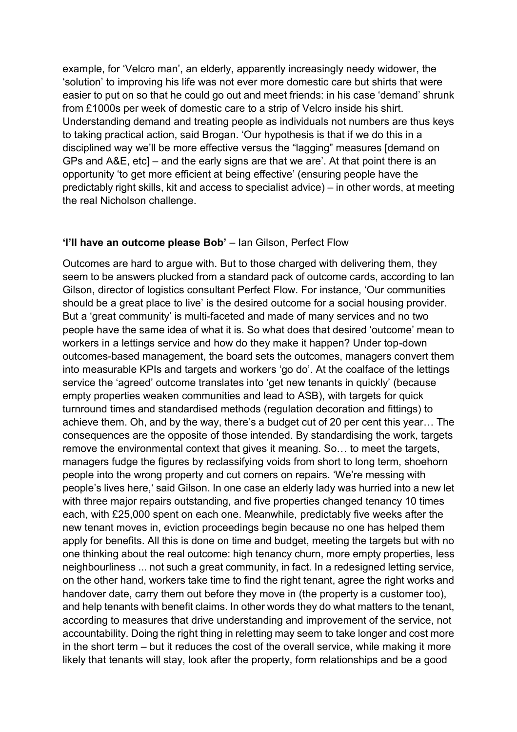example, for 'Velcro man', an elderly, apparently increasingly needy widower, the 'solution' to improving his life was not ever more domestic care but shirts that were easier to put on so that he could go out and meet friends: in his case 'demand' shrunk from £1000s per week of domestic care to a strip of Velcro inside his shirt. Understanding demand and treating people as individuals not numbers are thus keys to taking practical action, said Brogan. 'Our hypothesis is that if we do this in a disciplined way we'll be more effective versus the "lagging" measures [demand on GPs and A&E, etc]  $-$  and the early signs are that we are'. At that point there is an opportunity 'to get more efficient at being effective' (ensuring people have the predictably right skills, kit and access to specialist advice)  $-$  in other words, at meeting the real Nicholson challenge.

#### **'I'll have an outcome please Bob'** – Ian Gilson, Perfect Flow

Outcomes are hard to argue with. But to those charged with delivering them, they seem to be answers plucked from a standard pack of outcome cards, according to Ian Gilson, director of logistics consultant Perfect Flow. For instance, 'Our communities should be a great place to live' is the desired outcome for a social housing provider. But a 'great community' is multi-faceted and made of many services and no two people have the same idea of what it is. So what does that desired 'outcome' mean to workers in a lettings service and how do they make it happen? Under top-down outcomes-based management, the board sets the outcomes, managers convert them into measurable KPIs and targets and workers 'go do'. At the coalface of the lettings service the 'agreed' outcome translates into 'get new tenants in quickly' (because empty properties weaken communities and lead to ASB), with targets for quick turnround times and standardised methods (regulation decoration and fittings) to achieve them. Oh, and by the way, there's a budget cut of 20 per cent this year... The consequences are the opposite of those intended. By standardising the work, targets remove the environmental context that gives it meaning. So... to meet the targets, managers fudge the figures by reclassifying voids from short to long term, shoehorn people into the wrong property and cut corners on repairs. 'We're messing with people's lives here,' said Gilson. In one case an elderly lady was hurried into a new let with three major repairs outstanding, and five properties changed tenancy 10 times each, with £25,000 spent on each one. Meanwhile, predictably five weeks after the new tenant moves in, eviction proceedings begin because no one has helped them apply for benefits. All this is done on time and budget, meeting the targets but with no one thinking about the real outcome: high tenancy churn, more empty properties, less neighbourliness ... not such a great community, in fact. In a redesigned letting service, on the other hand, workers take time to find the right tenant, agree the right works and handover date, carry them out before they move in (the property is a customer too), and help tenants with benefit claims. In other words they do what matters to the tenant, according to measures that drive understanding and improvement of the service, not accountability. Doing the right thing in reletting may seem to take longer and cost more in the short term  $-$  but it reduces the cost of the overall service, while making it more likely that tenants will stay, look after the property, form relationships and be a good